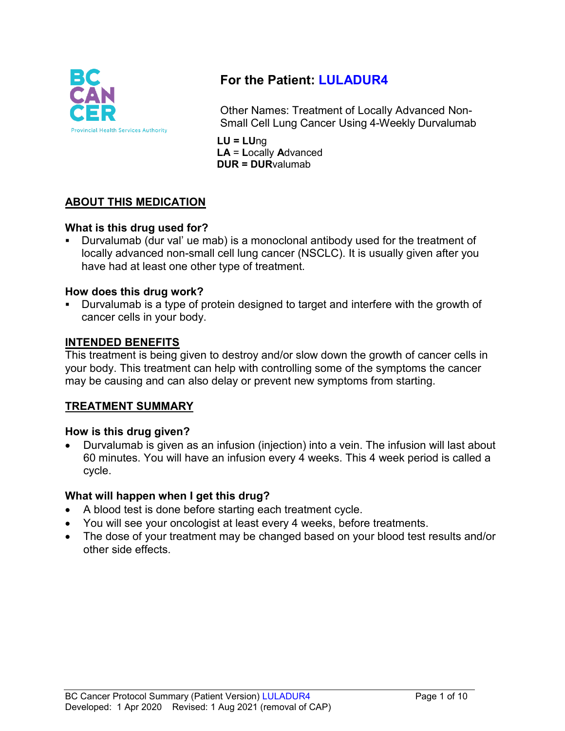

# **For the Patient: LULADUR4**

Other Names: Treatment of Locally Advanced Non-Small Cell Lung Cancer Using 4-Weekly Durvalumab

**LU = LU**ng **LA** = **L**ocally **A**dvanced **DUR = DUR**valumab

# **ABOUT THIS MEDICATION**

## **What is this drug used for?**

 Durvalumab (dur val' ue mab) is a monoclonal antibody used for the treatment of locally advanced non-small cell lung cancer (NSCLC). It is usually given after you have had at least one other type of treatment.

## **How does this drug work?**

 Durvalumab is a type of protein designed to target and interfere with the growth of cancer cells in your body.

## **INTENDED BENEFITS**

This treatment is being given to destroy and/or slow down the growth of cancer cells in your body. This treatment can help with controlling some of the symptoms the cancer may be causing and can also delay or prevent new symptoms from starting.

# **TREATMENT SUMMARY**

## **How is this drug given?**

• Durvalumab is given as an infusion (injection) into a vein. The infusion will last about 60 minutes. You will have an infusion every 4 weeks. This 4 week period is called a cycle.

# **What will happen when I get this drug?**

- A blood test is done before starting each treatment cycle.
- You will see your oncologist at least every 4 weeks, before treatments.
- The dose of your treatment may be changed based on your blood test results and/or other side effects.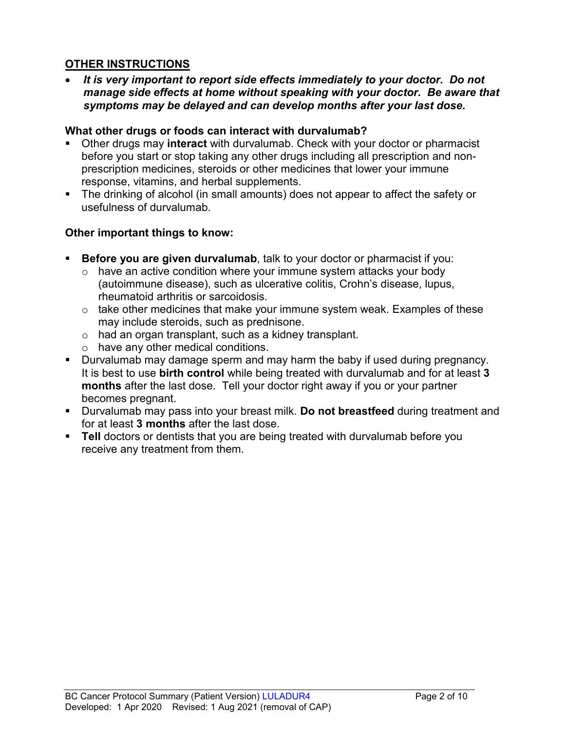## **OTHER INSTRUCTIONS**

• *It is very important to report side effects immediately to your doctor. Do not manage side effects at home without speaking with your doctor. Be aware that symptoms may be delayed and can develop months after your last dose.*

#### **What other drugs or foods can interact with durvalumab?**

- Other drugs may **interact** with durvalumab. Check with your doctor or pharmacist before you start or stop taking any other drugs including all prescription and nonprescription medicines, steroids or other medicines that lower your immune response, vitamins, and herbal supplements.
- The drinking of alcohol (in small amounts) does not appear to affect the safety or usefulness of durvalumab.

## **Other important things to know:**

- **Before you are given durvalumab**, talk to your doctor or pharmacist if you:
	- $\circ$  have an active condition where your immune system attacks your body (autoimmune disease), such as ulcerative colitis, Crohn's disease, lupus, rheumatoid arthritis or sarcoidosis.
	- $\circ$  take other medicines that make your immune system weak. Examples of these may include steroids, such as prednisone.
	- o had an organ transplant, such as a kidney transplant.
	- o have any other medical conditions.
- **Durvalumab may damage sperm and may harm the baby if used during pregnancy.** It is best to use **birth control** while being treated with durvalumab and for at least **3 months** after the last dose. Tell your doctor right away if you or your partner becomes pregnant.
- Durvalumab may pass into your breast milk. **Do not breastfeed** during treatment and for at least **3 months** after the last dose.
- **Tell** doctors or dentists that you are being treated with durvalumab before you receive any treatment from them.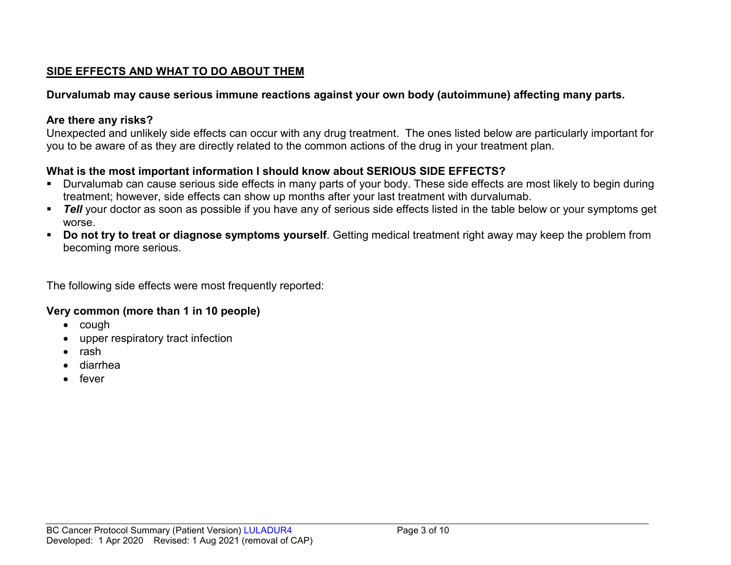# **SIDE EFFECTS AND WHAT TO DO ABOUT THEM**

## **Durvalumab may cause serious immune reactions against your own body (autoimmune) affecting many parts.**

## **Are there any risks?**

Unexpected and unlikely side effects can occur with any drug treatment. The ones listed below are particularly important for you to be aware of as they are directly related to the common actions of the drug in your treatment plan.

# **What is the most important information I should know about SERIOUS SIDE EFFECTS?**

- Durvalumab can cause serious side effects in many parts of your body. These side effects are most likely to begin during treatment; however, side effects can show up months after your last treatment with durvalumab.
- **Tell** your doctor as soon as possible if you have any of serious side effects listed in the table below or your symptoms get worse.
- **Do not try to treat or diagnose symptoms yourself**. Getting medical treatment right away may keep the problem from becoming more serious.

The following side effects were most frequently reported:

## **Very common (more than 1 in 10 people)**

- cough
- upper respiratory tract infection
- rash
- diarrhea
- fever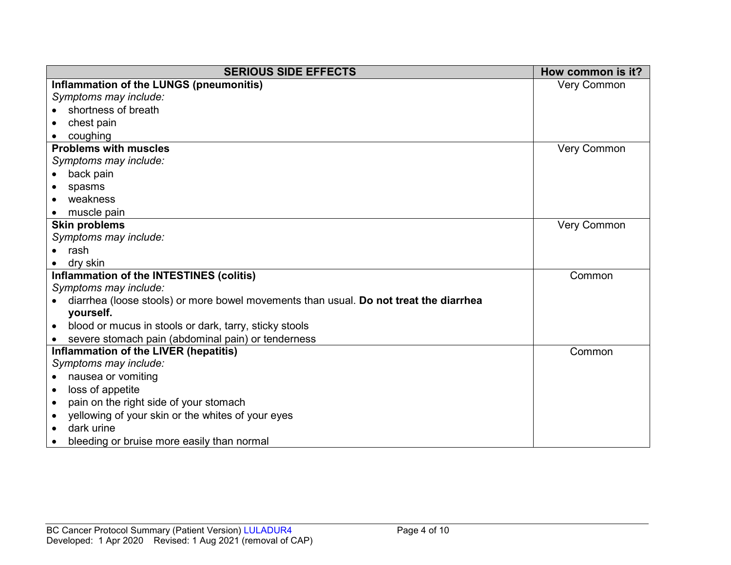| <b>SERIOUS SIDE EFFECTS</b>                                                           | How common is it? |
|---------------------------------------------------------------------------------------|-------------------|
| Inflammation of the LUNGS (pneumonitis)                                               | Very Common       |
| Symptoms may include:                                                                 |                   |
| shortness of breath                                                                   |                   |
| chest pain                                                                            |                   |
| coughing                                                                              |                   |
| <b>Problems with muscles</b>                                                          | Very Common       |
| Symptoms may include:                                                                 |                   |
| back pain                                                                             |                   |
| spasms                                                                                |                   |
| weakness                                                                              |                   |
| muscle pain                                                                           |                   |
| <b>Skin problems</b>                                                                  | Very Common       |
| Symptoms may include:                                                                 |                   |
| rash                                                                                  |                   |
| dry skin                                                                              |                   |
| Inflammation of the INTESTINES (colitis)                                              | Common            |
| Symptoms may include:                                                                 |                   |
| diarrhea (loose stools) or more bowel movements than usual. Do not treat the diarrhea |                   |
| yourself.                                                                             |                   |
| blood or mucus in stools or dark, tarry, sticky stools<br>$\bullet$                   |                   |
| severe stomach pain (abdominal pain) or tenderness                                    |                   |
| Inflammation of the LIVER (hepatitis)                                                 | Common            |
| Symptoms may include:                                                                 |                   |
| nausea or vomiting<br>$\bullet$                                                       |                   |
| loss of appetite<br>$\bullet$                                                         |                   |
| pain on the right side of your stomach<br>$\bullet$                                   |                   |
| yellowing of your skin or the whites of your eyes                                     |                   |
| dark urine                                                                            |                   |
| bleeding or bruise more easily than normal                                            |                   |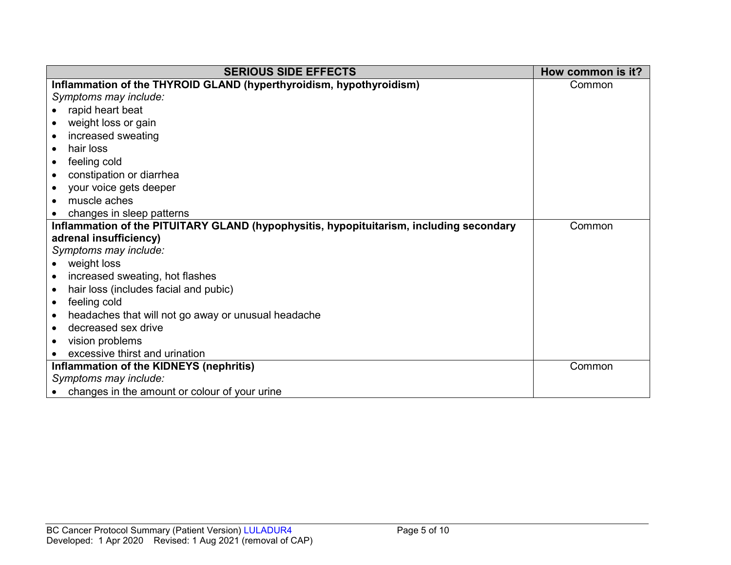| <b>SERIOUS SIDE EFFECTS</b>                                                             | How common is it? |
|-----------------------------------------------------------------------------------------|-------------------|
| Inflammation of the THYROID GLAND (hyperthyroidism, hypothyroidism)                     | Common            |
| Symptoms may include:                                                                   |                   |
| rapid heart beat                                                                        |                   |
| weight loss or gain                                                                     |                   |
| increased sweating                                                                      |                   |
| hair loss<br>$\bullet$                                                                  |                   |
| feeling cold<br>$\bullet$                                                               |                   |
| constipation or diarrhea<br>$\bullet$                                                   |                   |
| your voice gets deeper                                                                  |                   |
| muscle aches<br>$\bullet$                                                               |                   |
| changes in sleep patterns                                                               |                   |
| Inflammation of the PITUITARY GLAND (hypophysitis, hypopituitarism, including secondary | Common            |
| adrenal insufficiency)                                                                  |                   |
| Symptoms may include:                                                                   |                   |
| weight loss                                                                             |                   |
| increased sweating, hot flashes<br>$\bullet$                                            |                   |
| hair loss (includes facial and pubic)<br>$\bullet$                                      |                   |
| feeling cold<br>$\bullet$                                                               |                   |
| headaches that will not go away or unusual headache<br>$\bullet$                        |                   |
| decreased sex drive                                                                     |                   |
| vision problems<br>$\bullet$                                                            |                   |
| excessive thirst and urination                                                          |                   |
| Inflammation of the KIDNEYS (nephritis)                                                 | Common            |
| Symptoms may include:                                                                   |                   |
| changes in the amount or colour of your urine                                           |                   |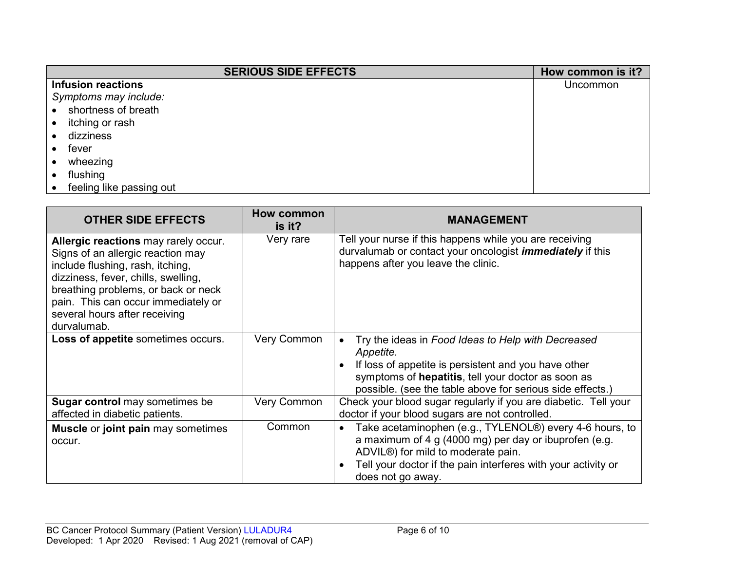| <b>SERIOUS SIDE EFFECTS</b> | How common is it? |
|-----------------------------|-------------------|
| <b>Infusion reactions</b>   | Uncommon          |
| Symptoms may include:       |                   |
| shortness of breath         |                   |
| itching or rash             |                   |
| dizziness                   |                   |
| fever                       |                   |
| wheezing                    |                   |
| flushing                    |                   |
| feeling like passing out    |                   |

| <b>OTHER SIDE EFFECTS</b>                                                                                                                                                                                                                                                          | How common<br>is it? | <b>MANAGEMENT</b>                                                                                                                                                                                                                                         |
|------------------------------------------------------------------------------------------------------------------------------------------------------------------------------------------------------------------------------------------------------------------------------------|----------------------|-----------------------------------------------------------------------------------------------------------------------------------------------------------------------------------------------------------------------------------------------------------|
| Allergic reactions may rarely occur.<br>Signs of an allergic reaction may<br>include flushing, rash, itching,<br>dizziness, fever, chills, swelling,<br>breathing problems, or back or neck<br>pain. This can occur immediately or<br>several hours after receiving<br>durvalumab. | Very rare            | Tell your nurse if this happens while you are receiving<br>durvalumab or contact your oncologist <i>immediately</i> if this<br>happens after you leave the clinic.                                                                                        |
| Loss of appetite sometimes occurs.                                                                                                                                                                                                                                                 | Very Common          | Try the ideas in Food Ideas to Help with Decreased<br>Appetite.<br>If loss of appetite is persistent and you have other<br>symptoms of hepatitis, tell your doctor as soon as<br>possible. (see the table above for serious side effects.)                |
| <b>Sugar control</b> may sometimes be<br>affected in diabetic patients.                                                                                                                                                                                                            | Very Common          | Check your blood sugar regularly if you are diabetic. Tell your<br>doctor if your blood sugars are not controlled.                                                                                                                                        |
| <b>Muscle or joint pain may sometimes</b><br>occur.                                                                                                                                                                                                                                | Common               | Take acetaminophen (e.g., TYLENOL®) every 4-6 hours, to<br>$\bullet$<br>a maximum of 4 g (4000 mg) per day or ibuprofen (e.g.<br>ADVIL®) for mild to moderate pain.<br>Tell your doctor if the pain interferes with your activity or<br>does not go away. |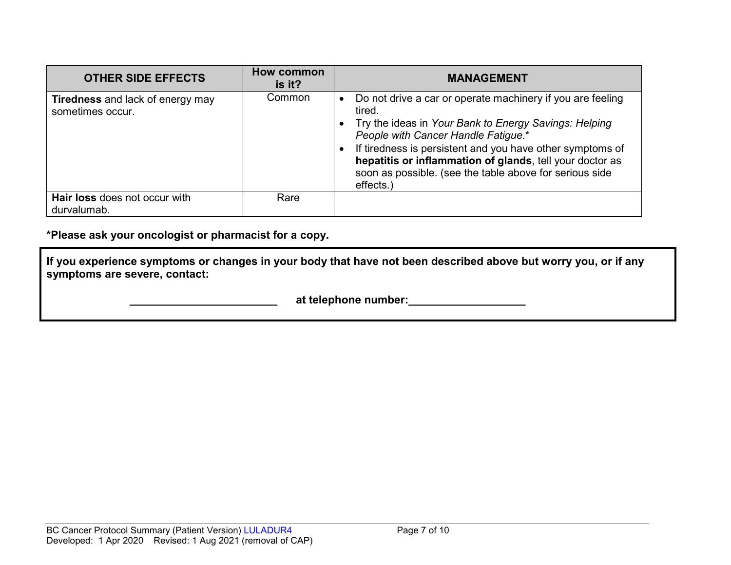| <b>OTHER SIDE EFFECTS</b>                                   | How common<br>is it? | <b>MANAGEMENT</b>                                                                                                                                                                                                                                                                                                                                                     |
|-------------------------------------------------------------|----------------------|-----------------------------------------------------------------------------------------------------------------------------------------------------------------------------------------------------------------------------------------------------------------------------------------------------------------------------------------------------------------------|
| <b>Tiredness</b> and lack of energy may<br>sometimes occur. | Common               | Do not drive a car or operate machinery if you are feeling<br>tired.<br>Try the ideas in Your Bank to Energy Savings: Helping<br>People with Cancer Handle Fatigue.*<br>If tiredness is persistent and you have other symptoms of<br>hepatitis or inflammation of glands, tell your doctor as<br>soon as possible. (see the table above for serious side<br>effects.) |
| Hair loss does not occur with<br>durvalumab.                | Rare                 |                                                                                                                                                                                                                                                                                                                                                                       |

**\*Please ask your oncologist or pharmacist for a copy.**

**If you experience symptoms or changes in your body that have not been described above but worry you, or if any symptoms are severe, contact:**

 **at telephone number:**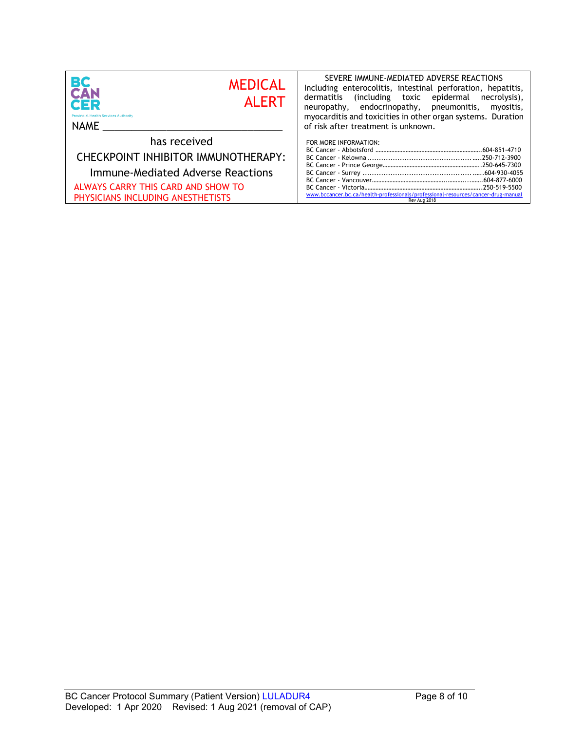| ВC<br><b>MEDICAL</b><br><b>CAN</b><br><b>ALERT</b><br>CER<br><b>Provincial Health Services Authority</b><br>NAME | SEVERE IMMUNE-MEDIATED ADVERSE REACTIONS<br>Including enterocolitis, intestinal perforation, hepatitis,<br>dermatitis (including toxic epidermal necrolysis),<br>neuropathy, endocrinopathy, pneumonitis,<br>myositis,<br>myocarditis and toxicities in other organ systems. Duration<br>of risk after treatment is unknown. |
|------------------------------------------------------------------------------------------------------------------|------------------------------------------------------------------------------------------------------------------------------------------------------------------------------------------------------------------------------------------------------------------------------------------------------------------------------|
| has received                                                                                                     | FOR MORE INFORMATION:                                                                                                                                                                                                                                                                                                        |
| CHECKPOINT INHIBITOR IMMUNOTHERAPY:                                                                              |                                                                                                                                                                                                                                                                                                                              |
| Immune-Mediated Adverse Reactions                                                                                |                                                                                                                                                                                                                                                                                                                              |
| ALWAYS CARRY THIS CARD AND SHOW TO<br>PHYSICIANS INCLUDING ANESTHETISTS                                          | www.bccancer.bc.ca/health-professionals/professional-resources/cancer-drug-manual<br>Rev Aug 2018                                                                                                                                                                                                                            |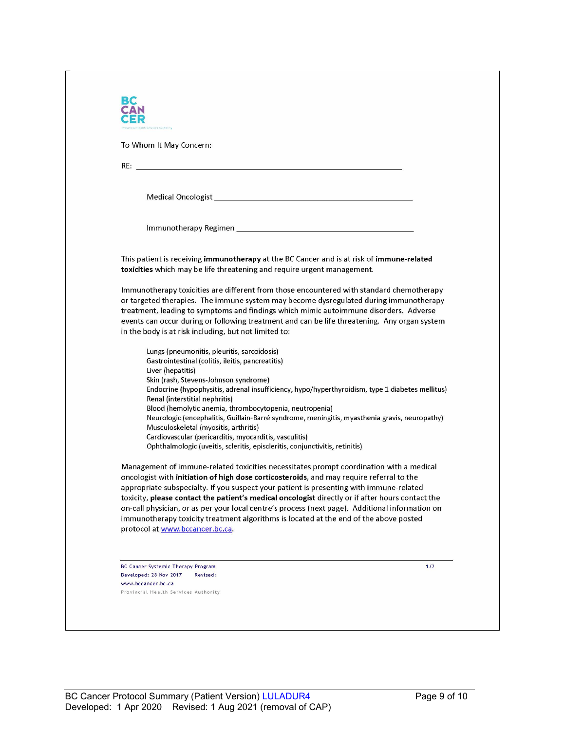| noial Health Services Authority                                                                                                                                                                                                                                                                                                                                                                                                                                                                                                                                                                                                                                                                   |
|---------------------------------------------------------------------------------------------------------------------------------------------------------------------------------------------------------------------------------------------------------------------------------------------------------------------------------------------------------------------------------------------------------------------------------------------------------------------------------------------------------------------------------------------------------------------------------------------------------------------------------------------------------------------------------------------------|
| To Whom It May Concern:                                                                                                                                                                                                                                                                                                                                                                                                                                                                                                                                                                                                                                                                           |
|                                                                                                                                                                                                                                                                                                                                                                                                                                                                                                                                                                                                                                                                                                   |
| Medical Oncologist <b>Exercísion Contract Contract Contract Contract Contract Contract Contract Contract Contract Contract Contract Contract Contract Contract Contract Contract Contract Contract Contract Contract Contract Co</b>                                                                                                                                                                                                                                                                                                                                                                                                                                                              |
|                                                                                                                                                                                                                                                                                                                                                                                                                                                                                                                                                                                                                                                                                                   |
| This patient is receiving immunotherapy at the BC Cancer and is at risk of immune-related<br>toxicities which may be life threatening and require urgent management.                                                                                                                                                                                                                                                                                                                                                                                                                                                                                                                              |
| Immunotherapy toxicities are different from those encountered with standard chemotherapy<br>or targeted therapies. The immune system may become dysregulated during immunotherapy<br>treatment, leading to symptoms and findings which mimic autoimmune disorders. Adverse<br>events can occur during or following treatment and can be life threatening. Any organ system<br>in the body is at risk including, but not limited to:                                                                                                                                                                                                                                                               |
| Lungs (pneumonitis, pleuritis, sarcoidosis)<br>Gastrointestinal (colitis, ileitis, pancreatitis)<br>Liver (hepatitis)<br>Skin (rash, Stevens-Johnson syndrome)<br>Endocrine (hypophysitis, adrenal insufficiency, hypo/hyperthyroidism, type 1 diabetes mellitus)<br>Renal (interstitial nephritis)<br>Blood (hemolytic anemia, thrombocytopenia, neutropenia)<br>Neurologic (encephalitis, Guillain-Barré syndrome, meningitis, myasthenia gravis, neuropathy)<br>Musculoskeletal (myositis, arthritis)<br>Cardiovascular (pericarditis, myocarditis, vasculitis)                                                                                                                                |
| Ophthalmologic (uveitis, scleritis, episcleritis, conjunctivitis, retinitis)<br>Management of immune-related toxicities necessitates prompt coordination with a medical<br>oncologist with initiation of high dose corticosteroids, and may require referral to the<br>appropriate subspecialty. If you suspect your patient is presenting with immune-related<br>toxicity, please contact the patient's medical oncologist directly or if after hours contact the<br>on-call physician, or as per your local centre's process (next page). Additional information on<br>immunotherapy toxicity treatment algorithms is located at the end of the above posted<br>protocol at www.bccancer.bc.ca. |
| $1/2$<br><b>BC Cancer Systemic Therapy Program</b><br>Developed: 28 Nov 2017<br>Revised:                                                                                                                                                                                                                                                                                                                                                                                                                                                                                                                                                                                                          |